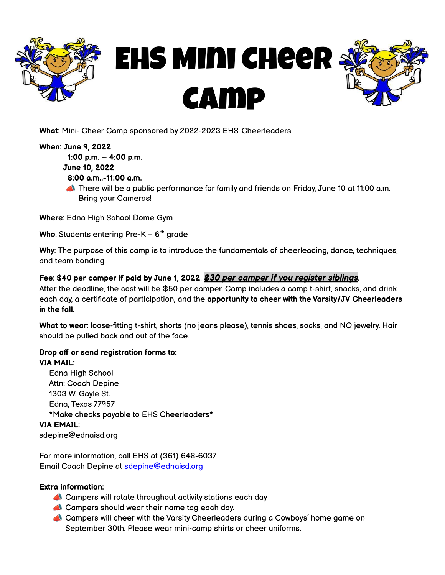

# EHS Mini Cheer Camp



**What**: Mini- Cheer Camp sponsored by 2022-2023 EHS Cheerleaders

#### **When**: **June 9, 2022**

**1:00 p.m. – 4:00 p.m.**

**June 10, 2022**

- **8:00 a.m..-11:00 a.m.**
- There will be a public performance for family and friends on Friday, June 10 at 11:00 a.m. Bring your Cameras!

**Where**: Edna High School Dome Gym

**Who**: Students entering Pre-K – 6<sup>th</sup> grade

**Why**: The purpose of this camp is to introduce the fundamentals of cheerleading, dance, techniques, and team bonding.

### **Fee**: **\$40 per camper if paid by June 1, 2022**. *\$30 per camper if you register siblings.*

After the deadline, the cost will be \$50 per camper. Camp includes a camp t-shirt, snacks, and drink each day, a certificate of participation, and the **opportunity to cheer with the Varsity/JV Cheerleaders in the fall.**

**What to wear**: loose-fitting t-shirt, shorts (no jeans please), tennis shoes, socks, and NO jewelry. Hair should be pulled back and out of the face.

## **Drop off or send registration forms to:**

## **VIA MAIL:**

Edna High School Attn: Coach Depine 1303 W. Gayle St. Edna, Texas 77957 \*Make checks payable to EHS Cheerleaders\* **VIA EMAIL:** sdepine@ednaisd.org

For more information, call EHS at (361) 648-6037 Email Coach Depine at [sdepine@ednaisd.org](mailto:skoehl@ednaisd.org)

#### **Extra information:**

- Campers will rotate throughout activity stations each day
- Campers should wear their name tag each day.
- Campers will cheer with the Varsity Cheerleaders during a Cowboys' home game on September 30th. Please wear mini-camp shirts or cheer uniforms.